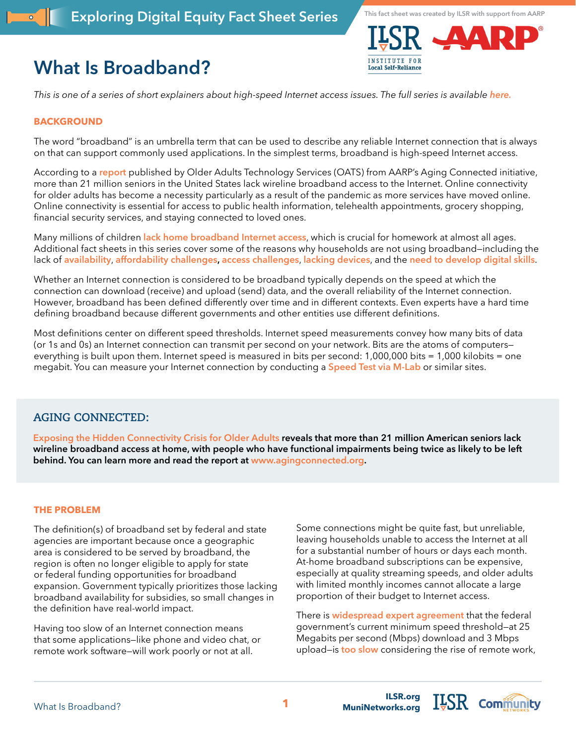# **What Is Broadband?**





*This is one of a series of short explainers about high-speed Internet access issues. The full series is available [here.](https://ilsr.org/exploring-digital-equity-fact-sheets)*

### **BACKGROUND**

The word "broadband" is an umbrella term that can be used to describe any reliable Internet connection that is always on that can support commonly used applications. In the simplest terms, broadband is high-speed Internet access.

According to a **[report](https://agingconnected.org/report/)** published by Older Adults Technology Services (OATS) from AARP's Aging Connected initiative, more than 21 million seniors in the United States lack wireline broadband access to the Internet. Online connectivity for older adults has become a necessity particularly as a result of the pandemic as more services have moved online. Online connectivity is essential for access to public health information, telehealth appointments, grocery shopping, financial security services, and staying connected to loved ones.

Many millions of children **[lack home broadband Internet access](https://www.usatoday.com/story/news/education/2021/02/04/covid-online-school-broadband-internet-laptops/3930744001/)**, which is crucial for homework at almost all ages. Additional fact sheets in this series cover some of the reasons why households are not using broadband—including the lack of **[availability](https://ilsr.org/exploring-digital-equity-fact-sheets)**, **[affordability challenges](https://ilsr.org/exploring-digital-equity-fact-sheets), [access challenges](https://ilsr.org/exploring-digital-equity-fact-sheets)**, **[lacking devices](https://ilsr.org/exploring-digital-equity-fact-sheets)**, and the **[need to develop digital skills](https://ilsr.org/exploring-digital-equity-fact-sheets)**.

Whether an Internet connection is considered to be broadband typically depends on the speed at which the connection can download (receive) and upload (send) data, and the overall reliability of the Internet connection. However, broadband has been defined differently over time and in different contexts. Even experts have a hard time defining broadband because different governments and other entities use different definitions.

Most definitions center on different speed thresholds. Internet speed measurements convey how many bits of data (or 1s and 0s) an Internet connection can transmit per second on your network. Bits are the atoms of computers everything is built upon them. Internet speed is measured in bits per second: 1,000,000 bits = 1,000 kilobits = one megabit. You can measure your Internet connection by conducting a **[Speed Test via M-Lab](https://speed.measurementlab.net/#/)** or similar sites.

## **AGING CONNECTED:**

**[Exposing the Hidden Connectivity Crisis for Older Adults](https://agingconnected.org/report/) reveals that more than 21 million American seniors lack wireline broadband access at home, with people who have functional impairments being twice as likely to be left behind. You can learn more and read the report at [www.agingconnected.org](http://www.agingconnected.org).** 

#### **THE PROBLEM**

The definition(s) of broadband set by federal and state agencies are important because once a geographic area is considered to be served by broadband, the region is often no longer eligible to apply for state or federal funding opportunities for broadband expansion. Government typically prioritizes those lacking broadband availability for subsidies, so small changes in the definition have real-world impact.

Having too slow of an Internet connection means that some applications—like phone and video chat, or remote work software—will work poorly or not at all.

Some connections might be quite fast, but unreliable, leaving households unable to access the Internet at all for a substantial number of hours or days each month. At-home broadband subscriptions can be expensive, especially at quality streaming speeds, and older adults with limited monthly incomes cannot allocate a large proportion of their budget to Internet access.

There is **[widespread expert agreement](https://www.telecompetitor.com/the-absurdity-of-broadband-the-official-speed-definition-that-is/)** that the federal government's current minimum speed threshold—at 25 Megabits per second (Mbps) download and 3 Mbps upload—is **[too slow](https://www.eff.org/deeplinks/2020/07/american-federal-definition-broadband-both-useless-and-harmful)** considering the rise of remote work,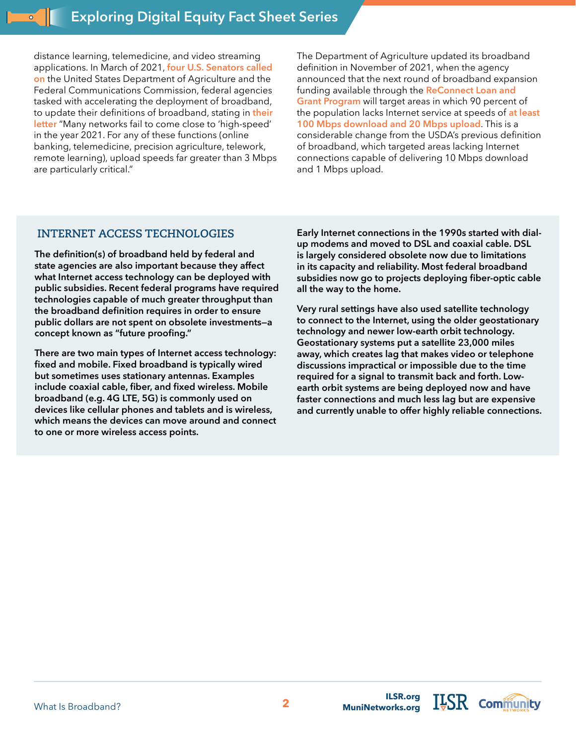distance learning, telemedicine, and video streaming applications. In March of 2021, **[four U.S. Senators called](https://www.engadget.com/senators-fcc-change-definition-high-speed-broadband-222150947.html)  [on](https://www.engadget.com/senators-fcc-change-definition-high-speed-broadband-222150947.html)** the United States Department of Agriculture and the Federal Communications Commission, federal agencies tasked with accelerating the deployment of broadband, to update their definitions of broadband, stating in **[their](https://www.bennet.senate.gov/public/_cache/files/c/7/c76028fb-488d-498e-8506-7d8a2dce3172/05DDC9148CC7F12A9F09235F77BB7A0D.bipartisan-broadband-speed-letter.pdf)  [letter](https://www.bennet.senate.gov/public/_cache/files/c/7/c76028fb-488d-498e-8506-7d8a2dce3172/05DDC9148CC7F12A9F09235F77BB7A0D.bipartisan-broadband-speed-letter.pdf)** "Many networks fail to come close to 'high-speed' in the year 2021. For any of these functions (online banking, telemedicine, precision agriculture, telework, remote learning), upload speeds far greater than 3 Mbps are particularly critical."

The Department of Agriculture updated its broadband definition in November of 2021, when the agency announced that the next round of broadband expansion funding available through the **[ReConnect Loan and](https://www.usda.gov/reconnect)  [Grant Program](https://www.usda.gov/reconnect)** will target areas in which 90 percent of the population lacks Internet service at speeds of **[at least](https://www.usda.gov/media/press-releases/2021/11/24/usda-begins-accepting-applications-115-billion-loans-and-grants)  [100 Mbps download and 20 Mbps upload](https://www.usda.gov/media/press-releases/2021/11/24/usda-begins-accepting-applications-115-billion-loans-and-grants)**. This is a considerable change from the USDA's previous definition of broadband, which targeted areas lacking Internet connections capable of delivering 10 Mbps download and 1 Mbps upload.

## **INTERNET ACCESS TECHNOLOGIES**

**The definition(s) of broadband held by federal and state agencies are also important because they affect what Internet access technology can be deployed with public subsidies. Recent federal programs have required technologies capable of much greater throughput than the broadband definition requires in order to ensure public dollars are not spent on obsolete investments—a concept known as "future proofing."** 

**There are two main types of Internet access technology: fixed and mobile. Fixed broadband is typically wired but sometimes uses stationary antennas. Examples include coaxial cable, fiber, and fixed wireless. Mobile broadband (e.g. 4G LTE, 5G) is commonly used on devices like cellular phones and tablets and is wireless, which means the devices can move around and connect to one or more wireless access points.**

**Early Internet connections in the 1990s started with dialup modems and moved to DSL and coaxial cable. DSL is largely considered obsolete now due to limitations in its capacity and reliability. Most federal broadband subsidies now go to projects deploying fiber-optic cable all the way to the home.**

**Very rural settings have also used satellite technology to connect to the Internet, using the older geostationary technology and newer low-earth orbit technology. Geostationary systems put a satellite 23,000 miles away, which creates lag that makes video or telephone discussions impractical or impossible due to the time required for a signal to transmit back and forth. Lowearth orbit systems are being deployed now and have faster connections and much less lag but are expensive and currently unable to offer highly reliable connections.**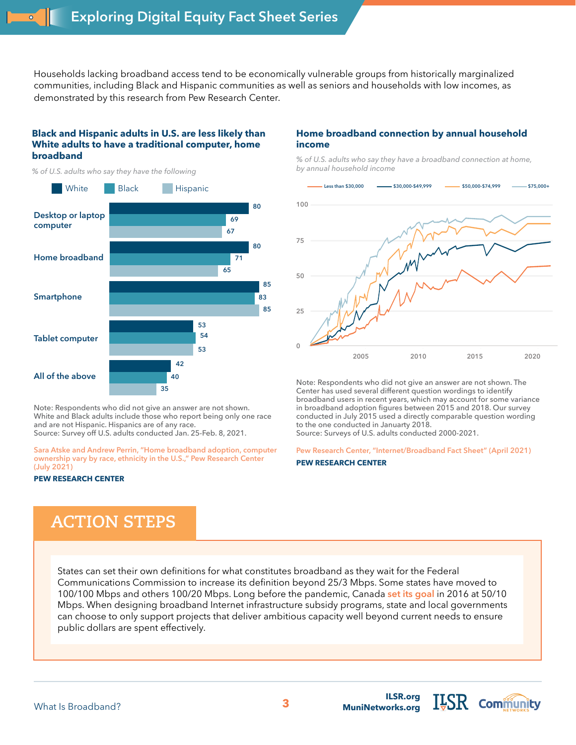Households lacking broadband access tend to be economically vulnerable groups from historically marginalized communities, including Black and Hispanic communities as well as seniors and households with low incomes, as demonstrated by this research from Pew Research Center.

#### **Black and Hispanic adults in U.S. are less likely than White adults to have a traditional computer, home broadband**

*% of U.S. adults who say they have the following*



Note: Respondents who did not give an answer are not shown. White and Black adults include those who report being only one race and are not Hispanic. Hispanics are of any race. **0 20 40 60 80 100** Source: Survey off U.S. adults conducted Jan. 25-Feb. 8, 2021.

**[Sara Atske and Andrew Perrin, "Home broadband adoption, computer](https://www.pewresearch.org/fact-tank/2021/07/16/home-broadband-adoption-computer-ownership-vary-by-race-ethnicity-in-the-u-s/)  [ownership vary by race, ethnicity in the U.S.," Pew Research Center](https://www.pewresearch.org/fact-tank/2021/07/16/home-broadband-adoption-computer-ownership-vary-by-race-ethnicity-in-the-u-s/)  [\(July 2021\)](https://www.pewresearch.org/fact-tank/2021/07/16/home-broadband-adoption-computer-ownership-vary-by-race-ethnicity-in-the-u-s/)**

#### **PEW RESEARCH CENTER**

## **ACTION STEPS**

States can set their own definitions for what constitutes broadband as they wait for the Federal Communications Commission to increase its definition beyond 25/3 Mbps. Some states have moved to 100/100 Mbps and others 100/20 Mbps. Long before the pandemic, Canada **[set its goal](https://www.telecompetitor.com/canada-broadband-universal-service-50-mbps-speed-target-up-to-750-million-new-funding/)** in 2016 at 50/10 Mbps. When designing broadband Internet infrastructure subsidy programs, state and local governments can choose to only support projects that deliver ambitious capacity well beyond current needs to ensure public dollars are spent effectively.

#### **Home broadband connection by annual household income**

*% of U.S. adults who say they have a broadband connection at home, by annual household income*



Note: Respondents who did not give an answer are not shown. The Center has used several different question wordings to identify broadband users in recent years, which may account for some variance in broadband adoption figures between 2015 and 2018. Our survey conducted in July 2015 used a directly comparable question wording to the one conducted in Januarty 2018.

Source: Surveys of U.S. adults conducted 2000-2021.

**[Pew Research Center, "Internet/Broadband Fact Sheet" \(April 2021\)](https://www.pewresearch.org/internet/fact-sheet/internet-broadband/?menuItem=2ab2b0be-6364-4d3a-8db7-ae134dbc05cd)**

#### **PEW RESEARCH CENTER**